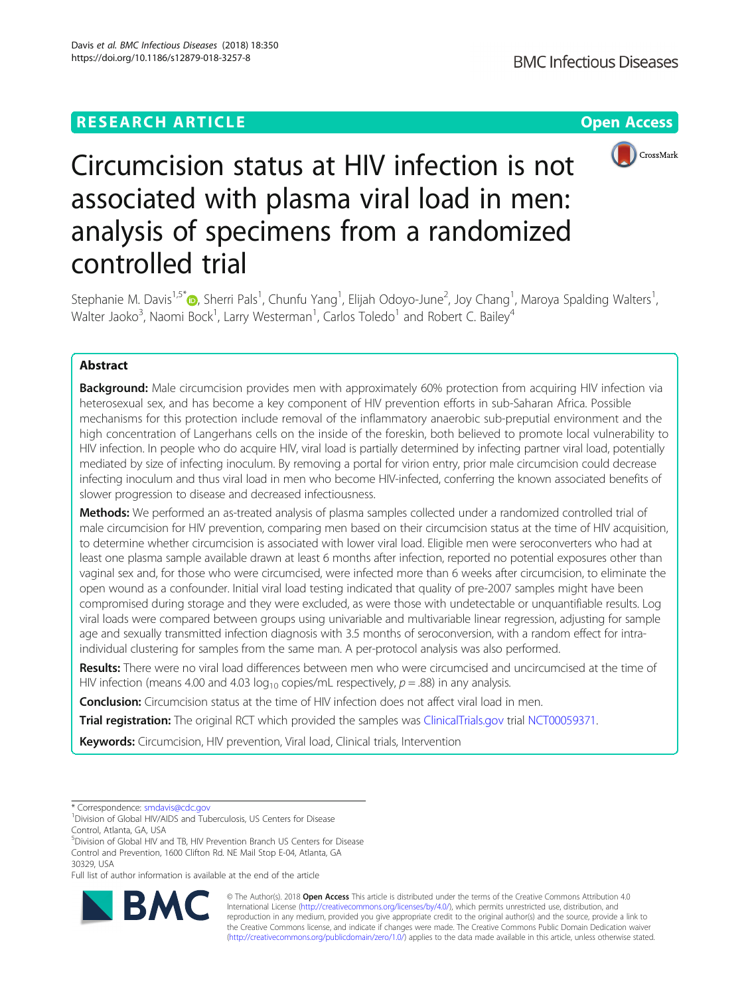

# Circumcision status at HIV infection is not associated with plasma viral load in men: analysis of specimens from a randomized controlled trial

Stephanie M. Davis<sup>1,5[\\*](http://orcid.org/0000-0003-4878-9701)</sup>®, Sherri Pals<sup>1</sup>, Chunfu Yang<sup>1</sup>, Elijah Odoyo-June<sup>2</sup>, Joy Chang<sup>1</sup>, Maroya Spalding Walters<sup>1</sup> , Walter Jaoko $^3$ , Naomi Bock $^1$ , Larry Westerman $^1$ , Carlos Toledo $^1$  and Robert C. Bailey $^4$ 

# Abstract

**Background:** Male circumcision provides men with approximately 60% protection from acquiring HIV infection via heterosexual sex, and has become a key component of HIV prevention efforts in sub-Saharan Africa. Possible mechanisms for this protection include removal of the inflammatory anaerobic sub-preputial environment and the high concentration of Langerhans cells on the inside of the foreskin, both believed to promote local vulnerability to HIV infection. In people who do acquire HIV, viral load is partially determined by infecting partner viral load, potentially mediated by size of infecting inoculum. By removing a portal for virion entry, prior male circumcision could decrease infecting inoculum and thus viral load in men who become HIV-infected, conferring the known associated benefits of slower progression to disease and decreased infectiousness.

Methods: We performed an as-treated analysis of plasma samples collected under a randomized controlled trial of male circumcision for HIV prevention, comparing men based on their circumcision status at the time of HIV acquisition, to determine whether circumcision is associated with lower viral load. Eligible men were seroconverters who had at least one plasma sample available drawn at least 6 months after infection, reported no potential exposures other than vaginal sex and, for those who were circumcised, were infected more than 6 weeks after circumcision, to eliminate the open wound as a confounder. Initial viral load testing indicated that quality of pre-2007 samples might have been compromised during storage and they were excluded, as were those with undetectable or unquantifiable results. Log viral loads were compared between groups using univariable and multivariable linear regression, adjusting for sample age and sexually transmitted infection diagnosis with 3.5 months of seroconversion, with a random effect for intraindividual clustering for samples from the same man. A per-protocol analysis was also performed.

Results: There were no viral load differences between men who were circumcised and uncircumcised at the time of HIV infection (means 4.00 and 4.03  $log_{10}$  copies/mL respectively,  $p = .88$ ) in any analysis.

**Conclusion:** Circumcision status at the time of HIV infection does not affect viral load in men.

Trial registration: The original RCT which provided the samples was [ClinicalTrials.gov](https://clinicaltrials.gov/) trial [NCT00059371](https://clinicaltrials.gov/ct2/show/NCT00059371).

Keywords: Circumcision, HIV prevention, Viral load, Clinical trials, Intervention

\* Correspondence: [smdavis@cdc.gov](mailto:smdavis@cdc.gov) <sup>1</sup>

<sup>1</sup> Division of Global HIV/AIDS and Tuberculosis, US Centers for Disease

5 Division of Global HIV and TB, HIV Prevention Branch US Centers for Disease Control and Prevention, 1600 Clifton Rd. NE Mail Stop E-04, Atlanta, GA 30329, USA

Full list of author information is available at the end of the article



© The Author(s). 2018 Open Access This article is distributed under the terms of the Creative Commons Attribution 4.0 International License [\(http://creativecommons.org/licenses/by/4.0/](http://creativecommons.org/licenses/by/4.0/)), which permits unrestricted use, distribution, and reproduction in any medium, provided you give appropriate credit to the original author(s) and the source, provide a link to the Creative Commons license, and indicate if changes were made. The Creative Commons Public Domain Dedication waiver [\(http://creativecommons.org/publicdomain/zero/1.0/](http://creativecommons.org/publicdomain/zero/1.0/)) applies to the data made available in this article, unless otherwise stated.

Control, Atlanta, GA, USA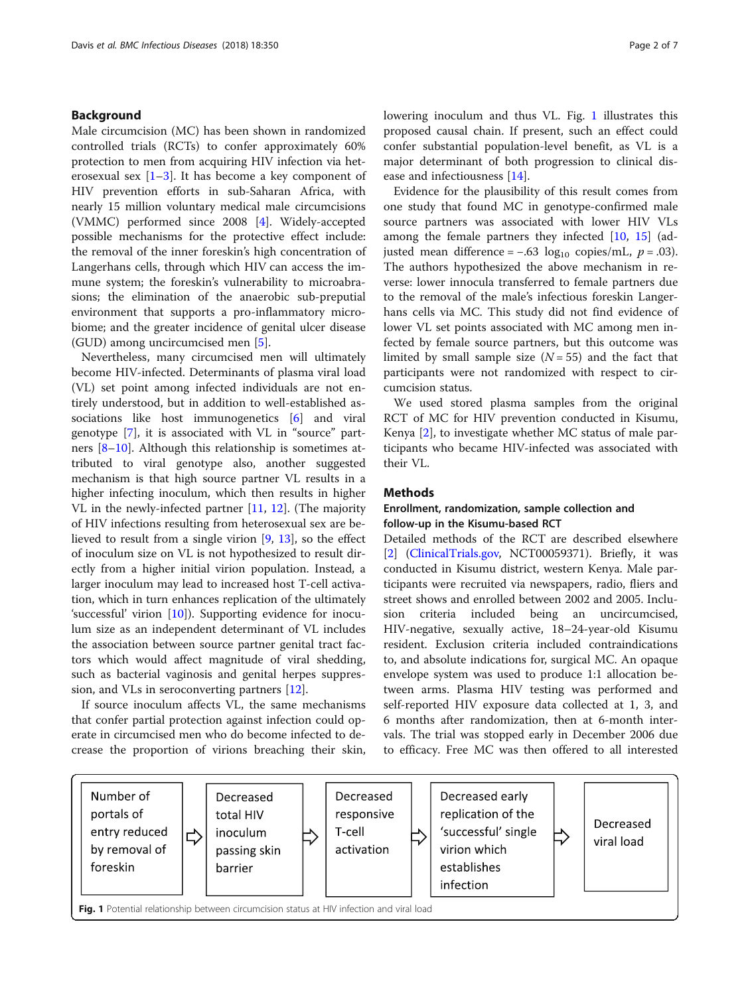# Background

Male circumcision (MC) has been shown in randomized controlled trials (RCTs) to confer approximately 60% protection to men from acquiring HIV infection via heterosexual sex [[1](#page-6-0)–[3\]](#page-6-0). It has become a key component of HIV prevention efforts in sub-Saharan Africa, with nearly 15 million voluntary medical male circumcisions (VMMC) performed since 2008 [[4\]](#page-6-0). Widely-accepted possible mechanisms for the protective effect include: the removal of the inner foreskin's high concentration of Langerhans cells, through which HIV can access the immune system; the foreskin's vulnerability to microabrasions; the elimination of the anaerobic sub-preputial environment that supports a pro-inflammatory microbiome; and the greater incidence of genital ulcer disease (GUD) among uncircumcised men [[5\]](#page-6-0).

Nevertheless, many circumcised men will ultimately become HIV-infected. Determinants of plasma viral load (VL) set point among infected individuals are not entirely understood, but in addition to well-established associations like host immunogenetics [[6\]](#page-6-0) and viral genotype [\[7\]](#page-6-0), it is associated with VL in "source" partners [[8](#page-6-0)–[10](#page-6-0)]. Although this relationship is sometimes attributed to viral genotype also, another suggested mechanism is that high source partner VL results in a higher infecting inoculum, which then results in higher VL in the newly-infected partner [[11,](#page-6-0) [12](#page-6-0)]. (The majority of HIV infections resulting from heterosexual sex are believed to result from a single virion [[9](#page-6-0), [13\]](#page-6-0), so the effect of inoculum size on VL is not hypothesized to result directly from a higher initial virion population. Instead, a larger inoculum may lead to increased host T-cell activation, which in turn enhances replication of the ultimately 'successful' virion [\[10](#page-6-0)]). Supporting evidence for inoculum size as an independent determinant of VL includes the association between source partner genital tract factors which would affect magnitude of viral shedding, such as bacterial vaginosis and genital herpes suppression, and VLs in seroconverting partners [[12\]](#page-6-0).

If source inoculum affects VL, the same mechanisms that confer partial protection against infection could operate in circumcised men who do become infected to decrease the proportion of virions breaching their skin, lowering inoculum and thus VL. Fig. 1 illustrates this proposed causal chain. If present, such an effect could confer substantial population-level benefit, as VL is a major determinant of both progression to clinical disease and infectiousness [[14\]](#page-6-0).

Evidence for the plausibility of this result comes from one study that found MC in genotype-confirmed male source partners was associated with lower HIV VLs among the female partners they infected [[10](#page-6-0), [15](#page-6-0)] (adjusted mean difference =  $-.63 \log_{10} \text{ copies/mL}, p = .03$ ). The authors hypothesized the above mechanism in reverse: lower innocula transferred to female partners due to the removal of the male's infectious foreskin Langerhans cells via MC. This study did not find evidence of lower VL set points associated with MC among men infected by female source partners, but this outcome was limited by small sample size  $(N = 55)$  and the fact that participants were not randomized with respect to circumcision status.

We used stored plasma samples from the original RCT of MC for HIV prevention conducted in Kisumu, Kenya [\[2](#page-6-0)], to investigate whether MC status of male participants who became HIV-infected was associated with their VL.

# Methods

# Enrollment, randomization, sample collection and follow-up in the Kisumu-based RCT

Detailed methods of the RCT are described elsewhere [[2\]](#page-6-0) [\(ClinicalTrials.gov,](http://clinicaltrials.gov) NCT00059371). Briefly, it was conducted in Kisumu district, western Kenya. Male participants were recruited via newspapers, radio, fliers and street shows and enrolled between 2002 and 2005. Inclusion criteria included being an uncircumcised, HIV-negative, sexually active, 18–24-year-old Kisumu resident. Exclusion criteria included contraindications to, and absolute indications for, surgical MC. An opaque envelope system was used to produce 1:1 allocation between arms. Plasma HIV testing was performed and self-reported HIV exposure data collected at 1, 3, and 6 months after randomization, then at 6-month intervals. The trial was stopped early in December 2006 due to efficacy. Free MC was then offered to all interested

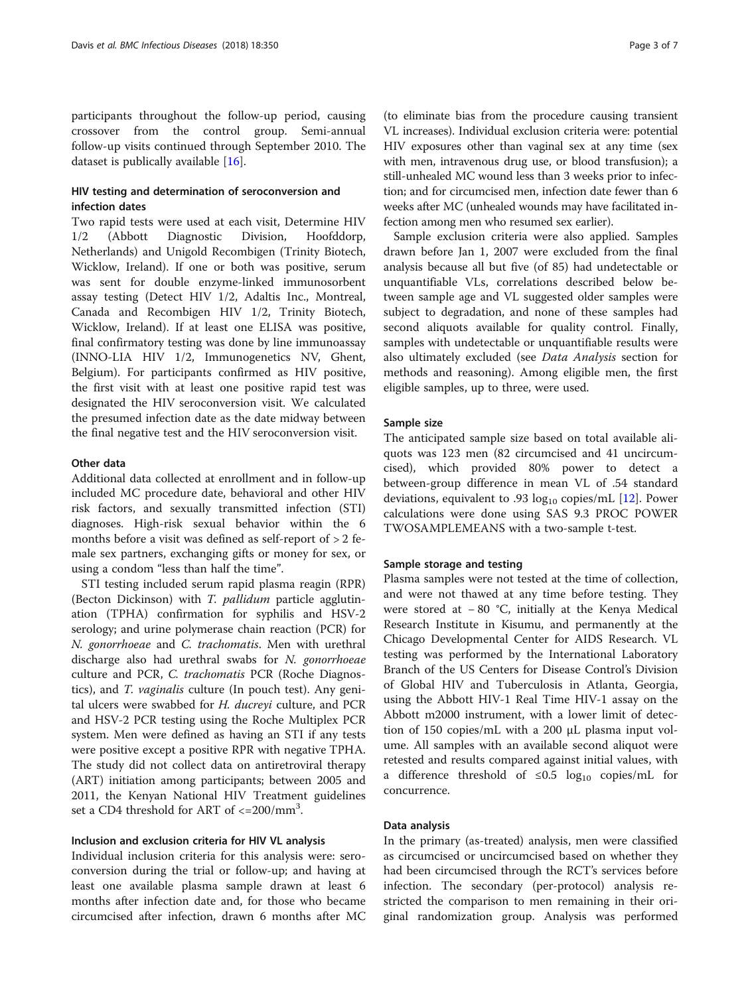participants throughout the follow-up period, causing crossover from the control group. Semi-annual follow-up visits continued through September 2010. The dataset is publically available  $[16]$  $[16]$ .

# HIV testing and determination of seroconversion and infection dates

Two rapid tests were used at each visit, Determine HIV 1/2 (Abbott Diagnostic Division, Hoofddorp, Netherlands) and Unigold Recombigen (Trinity Biotech, Wicklow, Ireland). If one or both was positive, serum was sent for double enzyme-linked immunosorbent assay testing (Detect HIV 1/2, Adaltis Inc., Montreal, Canada and Recombigen HIV 1/2, Trinity Biotech, Wicklow, Ireland). If at least one ELISA was positive, final confirmatory testing was done by line immunoassay (INNO-LIA HIV 1/2, Immunogenetics NV, Ghent, Belgium). For participants confirmed as HIV positive, the first visit with at least one positive rapid test was designated the HIV seroconversion visit. We calculated the presumed infection date as the date midway between the final negative test and the HIV seroconversion visit.

## Other data

Additional data collected at enrollment and in follow-up included MC procedure date, behavioral and other HIV risk factors, and sexually transmitted infection (STI) diagnoses. High-risk sexual behavior within the 6 months before a visit was defined as self-report of > 2 female sex partners, exchanging gifts or money for sex, or using a condom "less than half the time".

STI testing included serum rapid plasma reagin (RPR) (Becton Dickinson) with T. pallidum particle agglutination (TPHA) confirmation for syphilis and HSV-2 serology; and urine polymerase chain reaction (PCR) for N. gonorrhoeae and C. trachomatis. Men with urethral discharge also had urethral swabs for N. gonorrhoeae culture and PCR, C. trachomatis PCR (Roche Diagnostics), and T. vaginalis culture (In pouch test). Any genital ulcers were swabbed for H. ducreyi culture, and PCR and HSV-2 PCR testing using the Roche Multiplex PCR system. Men were defined as having an STI if any tests were positive except a positive RPR with negative TPHA. The study did not collect data on antiretroviral therapy (ART) initiation among participants; between 2005 and 2011, the Kenyan National HIV Treatment guidelines set a CD4 threshold for ART of <=200/mm<sup>3</sup>.

## Inclusion and exclusion criteria for HIV VL analysis

Individual inclusion criteria for this analysis were: seroconversion during the trial or follow-up; and having at least one available plasma sample drawn at least 6 months after infection date and, for those who became circumcised after infection, drawn 6 months after MC

(to eliminate bias from the procedure causing transient VL increases). Individual exclusion criteria were: potential HIV exposures other than vaginal sex at any time (sex with men, intravenous drug use, or blood transfusion); a still-unhealed MC wound less than 3 weeks prior to infection; and for circumcised men, infection date fewer than 6 weeks after MC (unhealed wounds may have facilitated infection among men who resumed sex earlier).

Sample exclusion criteria were also applied. Samples drawn before Jan 1, 2007 were excluded from the final analysis because all but five (of 85) had undetectable or unquantifiable VLs, correlations described below between sample age and VL suggested older samples were subject to degradation, and none of these samples had second aliquots available for quality control. Finally, samples with undetectable or unquantifiable results were also ultimately excluded (see Data Analysis section for methods and reasoning). Among eligible men, the first eligible samples, up to three, were used.

## Sample size

The anticipated sample size based on total available aliquots was 123 men (82 circumcised and 41 uncircumcised), which provided 80% power to detect a between-group difference in mean VL of .54 standard deviations, equivalent to .93  $log_{10}$  copies/mL [[12\]](#page-6-0). Power calculations were done using SAS 9.3 PROC POWER TWOSAMPLEMEANS with a two-sample t-test.

## Sample storage and testing

Plasma samples were not tested at the time of collection, and were not thawed at any time before testing. They were stored at − 80 °C, initially at the Kenya Medical Research Institute in Kisumu, and permanently at the Chicago Developmental Center for AIDS Research. VL testing was performed by the International Laboratory Branch of the US Centers for Disease Control's Division of Global HIV and Tuberculosis in Atlanta, Georgia, using the Abbott HIV-1 Real Time HIV-1 assay on the Abbott m2000 instrument, with a lower limit of detection of 150 copies/mL with a 200 μL plasma input volume. All samples with an available second aliquot were retested and results compared against initial values, with a difference threshold of  $\leq 0.5 \log_{10}$  copies/mL for concurrence.

## Data analysis

In the primary (as-treated) analysis, men were classified as circumcised or uncircumcised based on whether they had been circumcised through the RCT's services before infection. The secondary (per-protocol) analysis restricted the comparison to men remaining in their original randomization group. Analysis was performed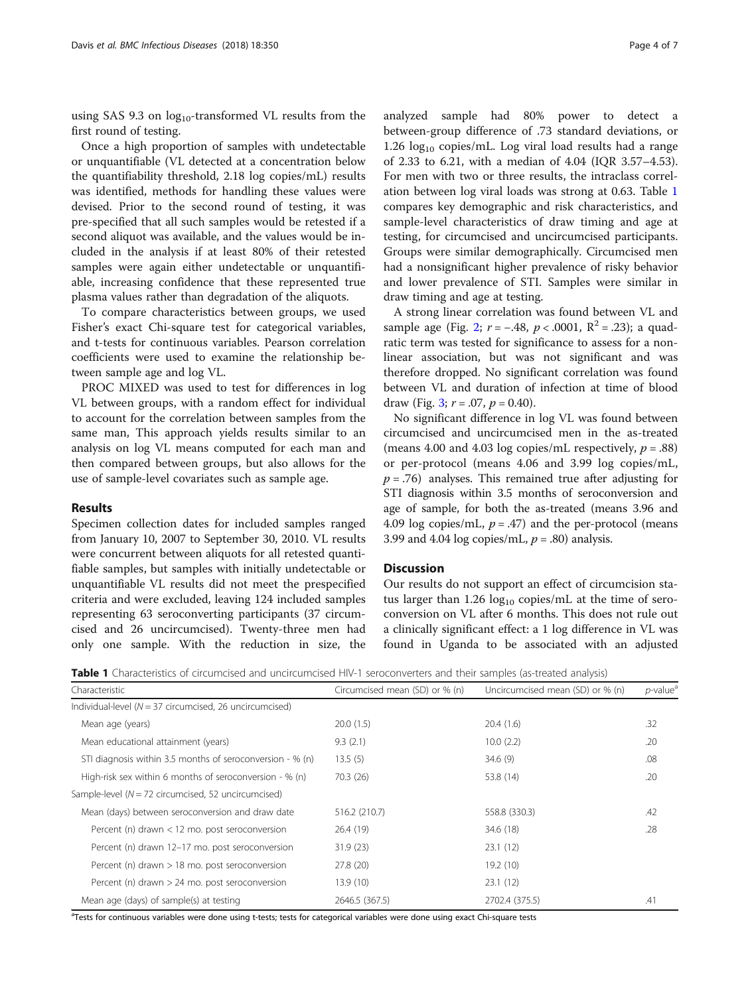using SAS 9.3 on  $log_{10}$ -transformed VL results from the first round of testing.

Once a high proportion of samples with undetectable or unquantifiable (VL detected at a concentration below the quantifiability threshold, 2.18 log copies/mL) results was identified, methods for handling these values were devised. Prior to the second round of testing, it was pre-specified that all such samples would be retested if a second aliquot was available, and the values would be included in the analysis if at least 80% of their retested samples were again either undetectable or unquantifiable, increasing confidence that these represented true plasma values rather than degradation of the aliquots.

To compare characteristics between groups, we used Fisher's exact Chi-square test for categorical variables, and t-tests for continuous variables. Pearson correlation coefficients were used to examine the relationship between sample age and log VL.

PROC MIXED was used to test for differences in log VL between groups, with a random effect for individual to account for the correlation between samples from the same man, This approach yields results similar to an analysis on log VL means computed for each man and then compared between groups, but also allows for the use of sample-level covariates such as sample age.

## Results

Specimen collection dates for included samples ranged from January 10, 2007 to September 30, 2010. VL results were concurrent between aliquots for all retested quantifiable samples, but samples with initially undetectable or unquantifiable VL results did not meet the prespecified criteria and were excluded, leaving 124 included samples representing 63 seroconverting participants (37 circumcised and 26 uncircumcised). Twenty-three men had only one sample. With the reduction in size, the analyzed sample had 80% power to detect a between-group difference of .73 standard deviations, or 1.26  $log_{10}$  copies/mL. Log viral load results had a range of 2.33 to 6.21, with a median of 4.04 (IQR 3.57–4.53). For men with two or three results, the intraclass correlation between log viral loads was strong at 0.63. Table 1 compares key demographic and risk characteristics, and sample-level characteristics of draw timing and age at testing, for circumcised and uncircumcised participants. Groups were similar demographically. Circumcised men had a nonsignificant higher prevalence of risky behavior and lower prevalence of STI. Samples were similar in draw timing and age at testing.

A strong linear correlation was found between VL and sample age (Fig. [2;](#page-4-0)  $r = -.48$ ,  $p < .0001$ ,  $R^2 = .23$ ); a quadratic term was tested for significance to assess for a nonlinear association, but was not significant and was therefore dropped. No significant correlation was found between VL and duration of infection at time of blood draw (Fig. [3](#page-4-0);  $r = .07$ ,  $p = 0.40$ ).

No significant difference in log VL was found between circumcised and uncircumcised men in the as-treated (means 4.00 and 4.03 log copies/mL respectively,  $p = .88$ ) or per-protocol (means 4.06 and 3.99 log copies/mL,  $p = .76$ ) analyses. This remained true after adjusting for STI diagnosis within 3.5 months of seroconversion and age of sample, for both the as-treated (means 3.96 and 4.09 log copies/mL,  $p = .47$ ) and the per-protocol (means 3.99 and 4.04 log copies/mL,  $p = .80$ ) analysis.

# Discussion

Our results do not support an effect of circumcision status larger than 1.26  $log_{10}$  copies/mL at the time of seroconversion on VL after 6 months. This does not rule out a clinically significant effect: a 1 log difference in VL was found in Uganda to be associated with an adjusted

Table 1 Characteristics of circumcised and uncircumcised HIV-1 seroconverters and their samples (as-treated analysis)

| Characteristic                                             | Circumcised mean (SD) or % (n) | Uncircumcised mean (SD) or % (n) | $p$ -value <sup><math>\epsilon</math></sup> |
|------------------------------------------------------------|--------------------------------|----------------------------------|---------------------------------------------|
| Individual-level ( $N = 37$ circumcised, 26 uncircumcised) |                                |                                  |                                             |
| Mean age (years)                                           | 20.0(1.5)                      | 20.4(1.6)                        | .32                                         |
| Mean educational attainment (years)                        | 9.3(2.1)                       | 10.0(2.2)                        | .20                                         |
| STI diagnosis within 3.5 months of seroconversion - % (n)  | 13.5(5)                        | 34.6(9)                          | .08                                         |
| High-risk sex within 6 months of seroconversion - % (n)    | 70.3 (26)                      | 53.8 (14)                        | .20                                         |
| Sample-level ( $N = 72$ circumcised, 52 uncircumcised)     |                                |                                  |                                             |
| Mean (days) between seroconversion and draw date           | 516.2 (210.7)                  | 558.8 (330.3)                    | .42                                         |
| Percent (n) drawn $<$ 12 mo. post seroconversion           | 26.4 (19)                      | 34.6 (18)                        | .28                                         |
| Percent (n) drawn 12-17 mo. post seroconversion            | 31.9(23)                       | 23.1(12)                         |                                             |
| Percent (n) drawn $> 18$ mo. post seroconversion           | 27.8 (20)                      | 19.2(10)                         |                                             |
| Percent (n) drawn $> 24$ mo. post seroconversion           | 13.9(10)                       | 23.1(12)                         |                                             |
| Mean age (days) of sample(s) at testing                    | 2646.5 (367.5)                 | 2702.4 (375.5)                   | .41                                         |

<sup>a</sup>Tests for continuous variables were done using t-tests; tests for categorical variables were done using exact Chi-square tests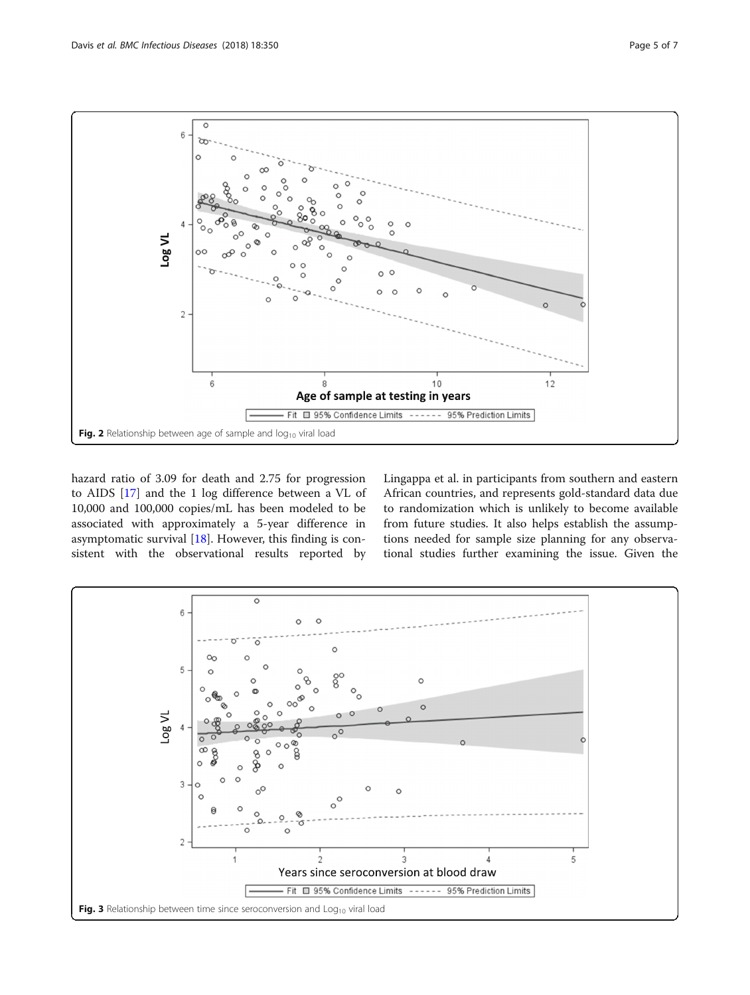<span id="page-4-0"></span>

hazard ratio of 3.09 for death and 2.75 for progression to AIDS [[17](#page-6-0)] and the 1 log difference between a VL of 10,000 and 100,000 copies/mL has been modeled to be associated with approximately a 5-year difference in asymptomatic survival  $[18]$  $[18]$ . However, this finding is consistent with the observational results reported by Lingappa et al. in participants from southern and eastern African countries, and represents gold-standard data due to randomization which is unlikely to become available from future studies. It also helps establish the assumptions needed for sample size planning for any observational studies further examining the issue. Given the

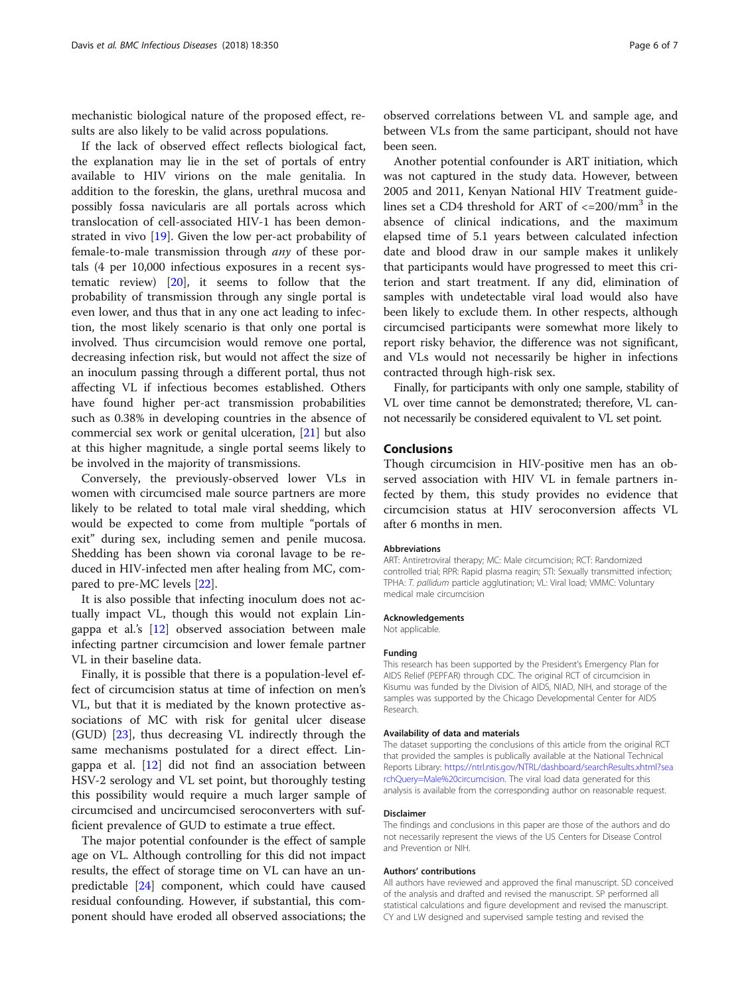mechanistic biological nature of the proposed effect, results are also likely to be valid across populations.

If the lack of observed effect reflects biological fact, the explanation may lie in the set of portals of entry available to HIV virions on the male genitalia. In addition to the foreskin, the glans, urethral mucosa and possibly fossa navicularis are all portals across which translocation of cell-associated HIV-1 has been demonstrated in vivo [[19](#page-6-0)]. Given the low per-act probability of female-to-male transmission through any of these portals (4 per 10,000 infectious exposures in a recent systematic review) [[20](#page-6-0)], it seems to follow that the probability of transmission through any single portal is even lower, and thus that in any one act leading to infection, the most likely scenario is that only one portal is involved. Thus circumcision would remove one portal, decreasing infection risk, but would not affect the size of an inoculum passing through a different portal, thus not affecting VL if infectious becomes established. Others have found higher per-act transmission probabilities such as 0.38% in developing countries in the absence of commercial sex work or genital ulceration, [\[21\]](#page-6-0) but also at this higher magnitude, a single portal seems likely to be involved in the majority of transmissions.

Conversely, the previously-observed lower VLs in women with circumcised male source partners are more likely to be related to total male viral shedding, which would be expected to come from multiple "portals of exit" during sex, including semen and penile mucosa. Shedding has been shown via coronal lavage to be reduced in HIV-infected men after healing from MC, compared to pre-MC levels [[22\]](#page-6-0).

It is also possible that infecting inoculum does not actually impact VL, though this would not explain Lingappa et al.'s [[12](#page-6-0)] observed association between male infecting partner circumcision and lower female partner VL in their baseline data.

Finally, it is possible that there is a population-level effect of circumcision status at time of infection on men's VL, but that it is mediated by the known protective associations of MC with risk for genital ulcer disease (GUD) [\[23\]](#page-6-0), thus decreasing VL indirectly through the same mechanisms postulated for a direct effect. Lingappa et al. [[12\]](#page-6-0) did not find an association between HSV-2 serology and VL set point, but thoroughly testing this possibility would require a much larger sample of circumcised and uncircumcised seroconverters with sufficient prevalence of GUD to estimate a true effect.

The major potential confounder is the effect of sample age on VL. Although controlling for this did not impact results, the effect of storage time on VL can have an unpredictable [\[24\]](#page-6-0) component, which could have caused residual confounding. However, if substantial, this component should have eroded all observed associations; the observed correlations between VL and sample age, and between VLs from the same participant, should not have been seen.

Another potential confounder is ART initiation, which was not captured in the study data. However, between 2005 and 2011, Kenyan National HIV Treatment guidelines set a CD4 threshold for ART of  $\langle =200/\text{mm}^3$  in the absence of clinical indications, and the maximum elapsed time of 5.1 years between calculated infection date and blood draw in our sample makes it unlikely that participants would have progressed to meet this criterion and start treatment. If any did, elimination of samples with undetectable viral load would also have been likely to exclude them. In other respects, although circumcised participants were somewhat more likely to report risky behavior, the difference was not significant, and VLs would not necessarily be higher in infections contracted through high-risk sex.

Finally, for participants with only one sample, stability of VL over time cannot be demonstrated; therefore, VL cannot necessarily be considered equivalent to VL set point.

## Conclusions

Though circumcision in HIV-positive men has an observed association with HIV VL in female partners infected by them, this study provides no evidence that circumcision status at HIV seroconversion affects VL after 6 months in men.

#### Abbreviations

ART: Antiretroviral therapy; MC: Male circumcision; RCT: Randomized controlled trial; RPR: Rapid plasma reagin; STI: Sexually transmitted infection; TPHA: T. pallidum particle agglutination; VL: Viral load; VMMC: Voluntary medical male circumcision

#### Acknowledgements

Not applicable.

## Funding

This research has been supported by the President's Emergency Plan for AIDS Relief (PEPFAR) through CDC. The original RCT of circumcision in Kisumu was funded by the Division of AIDS, NIAD, NIH, and storage of the samples was supported by the Chicago Developmental Center for AIDS Research.

## Availability of data and materials

The dataset supporting the conclusions of this article from the original RCT that provided the samples is publically available at the National Technical Reports Library: [https://ntrl.ntis.gov/NTRL/dashboard/searchResults.xhtml?sea](https://ntrl.ntis.gov/NTRL/dashboard/searchResults.xhtml?searchQuery=Male%20circumcision) [rchQuery=Male%20circumcision](https://ntrl.ntis.gov/NTRL/dashboard/searchResults.xhtml?searchQuery=Male%20circumcision). The viral load data generated for this analysis is available from the corresponding author on reasonable request.

#### Disclaimer

The findings and conclusions in this paper are those of the authors and do not necessarily represent the views of the US Centers for Disease Control and Prevention or NIH.

#### Authors' contributions

All authors have reviewed and approved the final manuscript. SD conceived of the analysis and drafted and revised the manuscript. SP performed all statistical calculations and figure development and revised the manuscript. CY and LW designed and supervised sample testing and revised the